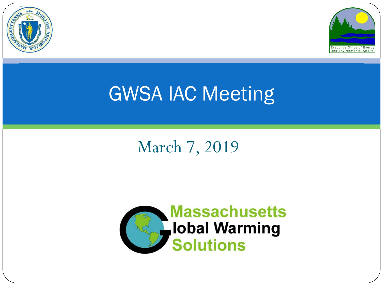



## GWSA IAC Meeting

### March 7, 2019

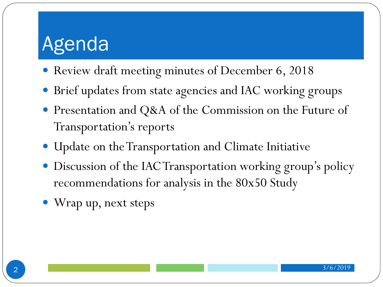## Agenda

- Review draft meeting minutes of December 6, 2018
- Brief updates from state agencies and IAC working groups
- Presentation and Q&A of the Commission on the Future of Transportation's reports
- Update on the Transportation and Climate Initiative
- Discussion of the IAC Transportation working group's policy recommendations for analysis in the 80x50 Study
- Wrap up, next steps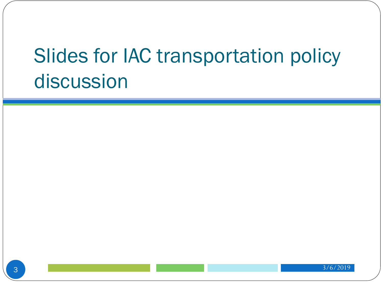# Slides for IAC transportation policy discussion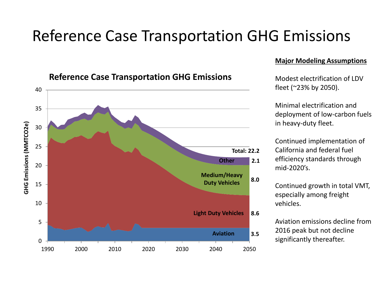### Reference Case Transportation GHG Emissions



#### **Reference Case Transportation GHG Emissions**

#### **Major Modeling Assumptions**

Modest electrification of LDV fleet (~23% by 2050).

Minimal electrification and deployment of low-carbon fuels in heavy-duty fleet.

Continued implementation of California and federal fuel efficiency standards through mid-2020's.

Continued growth in total VMT, especially among freight vehicles.

Aviation emissions decline from 2016 peak but not decline significantly thereafter.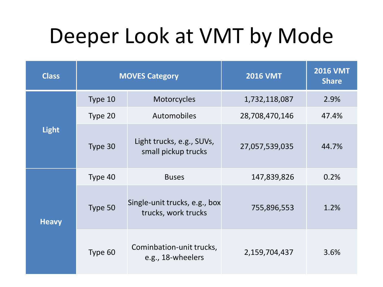# Deeper Look at VMT by Mode

| <b>Class</b> | <b>MOVES Category</b> |                                                      | <b>2016 VMT</b> | <b>2016 VMT</b><br><b>Share</b> |
|--------------|-----------------------|------------------------------------------------------|-----------------|---------------------------------|
| <b>Light</b> | Type 10               | Motorcycles                                          | 1,732,118,087   | 2.9%                            |
|              | Type 20               | Automobiles                                          | 28,708,470,146  | 47.4%                           |
|              | Type 30               | Light trucks, e.g., SUVs,<br>small pickup trucks     | 27,057,539,035  | 44.7%                           |
| <b>Heavy</b> | Type 40               | <b>Buses</b>                                         | 147,839,826     | 0.2%                            |
|              | Type 50               | Single-unit trucks, e.g., box<br>trucks, work trucks | 755,896,553     | 1.2%                            |
|              | Type 60               | Cominbation-unit trucks,<br>e.g., 18-wheelers        | 2,159,704,437   | 3.6%                            |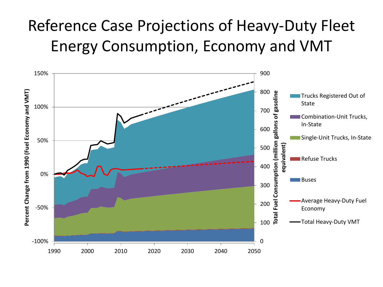### Reference Case Projections of Heavy-Duty Fleet Energy Consumption, Economy and VMT

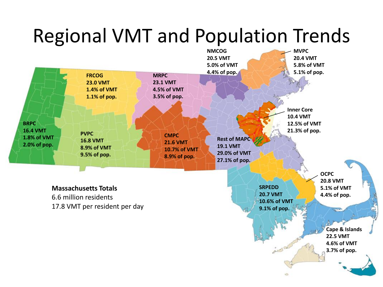## Regional VMT and Population Trends

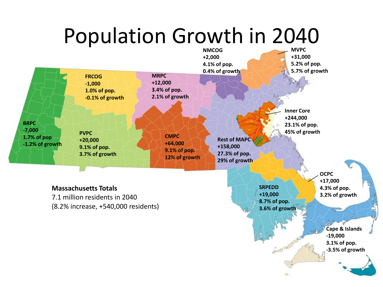# Population Growth in 2040